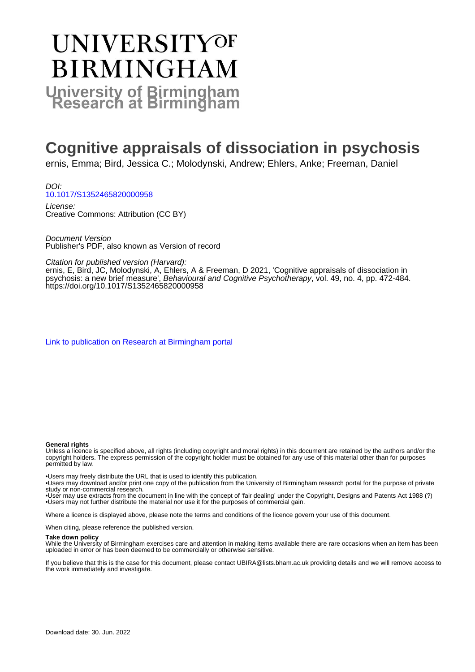# **UNIVERSITYOF BIRMINGHAM University of Birmingham**

# **Cognitive appraisals of dissociation in psychosis**

ernis, Emma; Bird, Jessica C.; Molodynski, Andrew; Ehlers, Anke; Freeman, Daniel

DOI: [10.1017/S1352465820000958](https://doi.org/10.1017/S1352465820000958)

License: Creative Commons: Attribution (CC BY)

Document Version Publisher's PDF, also known as Version of record

Citation for published version (Harvard):

ernis, E, Bird, JC, Molodynski, A, Ehlers, A & Freeman, D 2021, 'Cognitive appraisals of dissociation in psychosis: a new brief measure', Behavioural and Cognitive Psychotherapy, vol. 49, no. 4, pp. 472-484. <https://doi.org/10.1017/S1352465820000958>

[Link to publication on Research at Birmingham portal](https://birmingham.elsevierpure.com/en/publications/a4b34697-3986-4227-a46f-e23aec062437)

#### **General rights**

Unless a licence is specified above, all rights (including copyright and moral rights) in this document are retained by the authors and/or the copyright holders. The express permission of the copyright holder must be obtained for any use of this material other than for purposes permitted by law.

• Users may freely distribute the URL that is used to identify this publication.

• Users may download and/or print one copy of the publication from the University of Birmingham research portal for the purpose of private study or non-commercial research.

• User may use extracts from the document in line with the concept of 'fair dealing' under the Copyright, Designs and Patents Act 1988 (?) • Users may not further distribute the material nor use it for the purposes of commercial gain.

Where a licence is displayed above, please note the terms and conditions of the licence govern your use of this document.

When citing, please reference the published version.

### **Take down policy**

While the University of Birmingham exercises care and attention in making items available there are rare occasions when an item has been uploaded in error or has been deemed to be commercially or otherwise sensitive.

If you believe that this is the case for this document, please contact UBIRA@lists.bham.ac.uk providing details and we will remove access to the work immediately and investigate.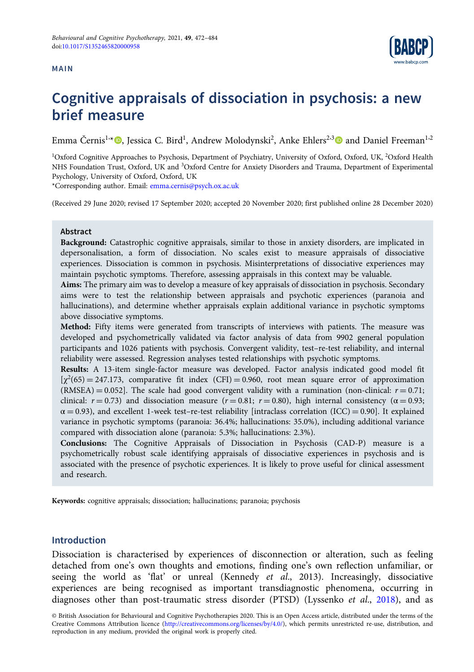# MAIN



# Cognitive appraisals of dissociation in psychosis: a new brief measure

Emma Černis<sup>1,</sup>\*<sup>®</sup>, Jessica C. Bird<sup>1</sup>, Andrew Molodynski<sup>2</sup>, Anke Ehlers<sup>2,3</sup>® and Daniel Freeman<sup>1,2</sup>

<sup>1</sup>Oxford Cognitive Approaches to Psychosis, Department of Psychiatry, University of Oxford, Oxford, UK, <sup>2</sup>Oxford Health NHS Foundation Trust, Oxford, UK and <sup>3</sup>Oxford Centre for Anxiety Disorders and Trauma, Department of Experimental Psychology, University of Oxford, Oxford, UK

\*Corresponding author. Email: [emma.cernis@psych.ox.ac.uk](mailto:emma.cernis@psych.ox.ac.uk)

(Received 29 June 2020; revised 17 September 2020; accepted 20 November 2020; first published online 28 December 2020)

# Abstract

Background: Catastrophic cognitive appraisals, similar to those in anxiety disorders, are implicated in depersonalisation, a form of dissociation. No scales exist to measure appraisals of dissociative experiences. Dissociation is common in psychosis. Misinterpretations of dissociative experiences may maintain psychotic symptoms. Therefore, assessing appraisals in this context may be valuable.

Aims: The primary aim was to develop a measure of key appraisals of dissociation in psychosis. Secondary aims were to test the relationship between appraisals and psychotic experiences (paranoia and hallucinations), and determine whether appraisals explain additional variance in psychotic symptoms above dissociative symptoms.

Method: Fifty items were generated from transcripts of interviews with patients. The measure was developed and psychometrically validated via factor analysis of data from 9902 general population participants and 1026 patients with psychosis. Convergent validity, test–re-test reliability, and internal reliability were assessed. Regression analyses tested relationships with psychotic symptoms.

Results: A 13-item single-factor measure was developed. Factor analysis indicated good model fit  $[\chi^2(65) = 247.173$ , comparative fit index (CFI) = 0.960, root mean square error of approximation  $(RMSEA) = 0.052$ . The scale had good convergent validity with a rumination (non-clinical:  $r = 0.71$ ; clinical:  $r = 0.73$ ) and dissociation measure ( $r = 0.81$ ;  $r = 0.80$ ), high internal consistency ( $\alpha = 0.93$ ;  $\alpha = 0.93$ ), and excellent 1-week test-re-test reliability [intraclass correlation (ICC) = 0.90]. It explained variance in psychotic symptoms (paranoia: 36.4%; hallucinations: 35.0%), including additional variance compared with dissociation alone (paranoia: 5.3%; hallucinations: 2.3%).

Conclusions: The Cognitive Appraisals of Dissociation in Psychosis (CAD-P) measure is a psychometrically robust scale identifying appraisals of dissociative experiences in psychosis and is associated with the presence of psychotic experiences. It is likely to prove useful for clinical assessment and research.

Keywords: cognitive appraisals; dissociation; hallucinations; paranoia; psychosis

# **Introduction**

Dissociation is characterised by experiences of disconnection or alteration, such as feeling detached from one's own thoughts and emotions, finding one's own reflection unfamiliar, or seeing the world as 'flat' or unreal (Kennedy et al., 2013). Increasingly, dissociative experiences are being recognised as important transdiagnostic phenomena, occurring in diagnoses other than post-traumatic stress disorder (PTSD) (Lyssenko et al., [2018](#page-12-0)), and as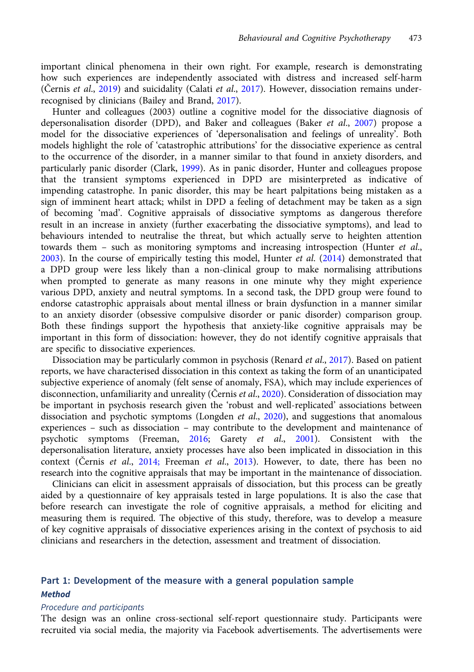important clinical phenomena in their own right. For example, research is demonstrating how such experiences are independently associated with distress and increased self-harm (Černis et al., [2019](#page-11-0)) and suicidality (Calati et al., [2017\)](#page-11-0). However, dissociation remains underrecognised by clinicians (Bailey and Brand, [2017](#page-11-0)).

Hunter and colleagues (2003) outline a cognitive model for the dissociative diagnosis of depersonalisation disorder (DPD), and Baker and colleagues (Baker et al., [2007\)](#page-11-0) propose a model for the dissociative experiences of 'depersonalisation and feelings of unreality'. Both models highlight the role of 'catastrophic attributions' for the dissociative experience as central to the occurrence of the disorder, in a manner similar to that found in anxiety disorders, and particularly panic disorder (Clark, [1999](#page-11-0)). As in panic disorder, Hunter and colleagues propose that the transient symptoms experienced in DPD are misinterpreted as indicative of impending catastrophe. In panic disorder, this may be heart palpitations being mistaken as a sign of imminent heart attack; whilst in DPD a feeling of detachment may be taken as a sign of becoming 'mad'. Cognitive appraisals of dissociative symptoms as dangerous therefore result in an increase in anxiety (further exacerbating the dissociative symptoms), and lead to behaviours intended to neutralise the threat, but which actually serve to heighten attention towards them - such as monitoring symptoms and increasing introspection (Hunter et al., [2003](#page-12-0)). In the course of empirically testing this model, Hunter *et al.*  $(2014)$  $(2014)$  $(2014)$  demonstrated that a DPD group were less likely than a non-clinical group to make normalising attributions when prompted to generate as many reasons in one minute why they might experience various DPD, anxiety and neutral symptoms. In a second task, the DPD group were found to endorse catastrophic appraisals about mental illness or brain dysfunction in a manner similar to an anxiety disorder (obsessive compulsive disorder or panic disorder) comparison group. Both these findings support the hypothesis that anxiety-like cognitive appraisals may be important in this form of dissociation: however, they do not identify cognitive appraisals that are specific to dissociative experiences.

Dissociation may be particularly common in psychosis (Renard *et al.*, [2017](#page-12-0)). Based on patient reports, we have characterised dissociation in this context as taking the form of an unanticipated subjective experience of anomaly (felt sense of anomaly, FSA), which may include experiences of disconnection, unfamiliarity and unreality (Černis et al., [2020](#page-11-0)). Consideration of dissociation may be important in psychosis research given the 'robust and well-replicated' associations between dissociation and psychotic symptoms (Longden et al., [2020](#page-12-0)), and suggestions that anomalous experiences – such as dissociation – may contribute to the development and maintenance of psychotic symptoms (Freeman,  $2016$ ; Garety et al., [2001](#page-12-0)). Consistent with the depersonalisation literature, anxiety processes have also been implicated in dissociation in this context (Černis et al., [2014;](#page-11-0) Freeman et al., [2013](#page-12-0)). However, to date, there has been no research into the cognitive appraisals that may be important in the maintenance of dissociation.

Clinicians can elicit in assessment appraisals of dissociation, but this process can be greatly aided by a questionnaire of key appraisals tested in large populations. It is also the case that before research can investigate the role of cognitive appraisals, a method for eliciting and measuring them is required. The objective of this study, therefore, was to develop a measure of key cognitive appraisals of dissociative experiences arising in the context of psychosis to aid clinicians and researchers in the detection, assessment and treatment of dissociation.

# Part 1: Development of the measure with a general population sample **Method**

# Procedure and participants

The design was an online cross-sectional self-report questionnaire study. Participants were recruited via social media, the majority via Facebook advertisements. The advertisements were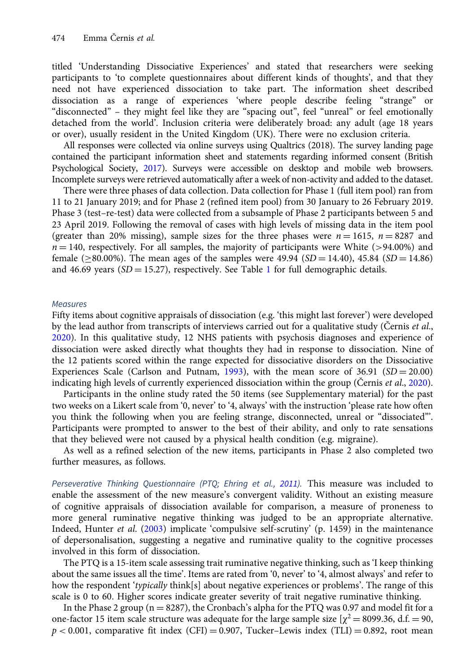titled 'Understanding Dissociative Experiences' and stated that researchers were seeking participants to 'to complete questionnaires about different kinds of thoughts', and that they need not have experienced dissociation to take part. The information sheet described dissociation as a range of experiences 'where people describe feeling "strange" or "disconnected" – they might feel like they are "spacing out", feel "unreal" or feel emotionally detached from the world'. Inclusion criteria were deliberately broad: any adult (age 18 years or over), usually resident in the United Kingdom (UK). There were no exclusion criteria.

All responses were collected via online surveys using Qualtrics (2018). The survey landing page contained the participant information sheet and statements regarding informed consent (British Psychological Society, [2017](#page-11-0)). Surveys were accessible on desktop and mobile web browsers. Incomplete surveys were retrieved automatically after a week of non-activity and added to the dataset.

There were three phases of data collection. Data collection for Phase 1 (full item pool) ran from 11 to 21 January 2019; and for Phase 2 (refined item pool) from 30 January to 26 February 2019. Phase 3 (test–re-test) data were collected from a subsample of Phase 2 participants between 5 and 23 April 2019. Following the removal of cases with high levels of missing data in the item pool (greater than 20% missing), sample sizes for the three phases were  $n = 1615$ ,  $n = 8287$  and  $n = 140$ , respectively. For all samples, the majority of participants were White (>94.00%) and female ( $\geq 80.00\%$ ). The mean ages of the samples were 49.94 (SD = 14.40), 45.84 (SD = 14.86) and 46.69 years  $(SD = 15.27)$  $(SD = 15.27)$  $(SD = 15.27)$ , respectively. See Table 1 for full demographic details.

### **Measures**

Fifty items about cognitive appraisals of dissociation (e.g. 'this might last forever') were developed by the lead author from transcripts of interviews carried out for a qualitative study (Černis *et al.*, [2020\)](#page-11-0). In this qualitative study, 12 NHS patients with psychosis diagnoses and experience of dissociation were asked directly what thoughts they had in response to dissociation. Nine of the 12 patients scored within the range expected for dissociative disorders on the Dissociative Experiences Scale (Carlson and Putnam, [1993](#page-11-0)), with the mean score of  $36.91$  (SD = 20.00) indicating high levels of currently experienced dissociation within the group (Černis et al., [2020\)](#page-11-0).

Participants in the online study rated the 50 items (see Supplementary material) for the past two weeks on a Likert scale from '0, never' to '4, always' with the instruction 'please rate how often you think the following when you are feeling strange, disconnected, unreal or "dissociated"'. Participants were prompted to answer to the best of their ability, and only to rate sensations that they believed were not caused by a physical health condition (e.g. migraine).

As well as a refined selection of the new items, participants in Phase 2 also completed two further measures, as follows.

Perseverative Thinking Questionnaire (PTQ; Ehring et al., [2011\)](#page-12-0). This measure was included to enable the assessment of the new measure's convergent validity. Without an existing measure of cognitive appraisals of dissociation available for comparison, a measure of proneness to more general ruminative negative thinking was judged to be an appropriate alternative. Indeed, Hunter et al. [\(2003\)](#page-12-0) implicate 'compulsive self-scrutiny' (p. 1459) in the maintenance of depersonalisation, suggesting a negative and ruminative quality to the cognitive processes involved in this form of dissociation.

The PTQ is a 15-item scale assessing trait ruminative negative thinking, such as 'I keep thinking about the same issues all the time'. Items are rated from '0, never' to '4, almost always' and refer to how the respondent 'typically think[s] about negative experiences or problems'. The range of this scale is 0 to 60. Higher scores indicate greater severity of trait negative ruminative thinking.

In the Phase 2 group ( $n = 8287$ ), the Cronbach's alpha for the PTQ was 0.97 and model fit for a one-factor 15 item scale structure was adequate for the large sample size  $[\chi^2 = 8099.36, d.f. = 90,$  $p < 0.001$ , comparative fit index (CFI) = 0.907, Tucker–Lewis index (TLI) = 0.892, root mean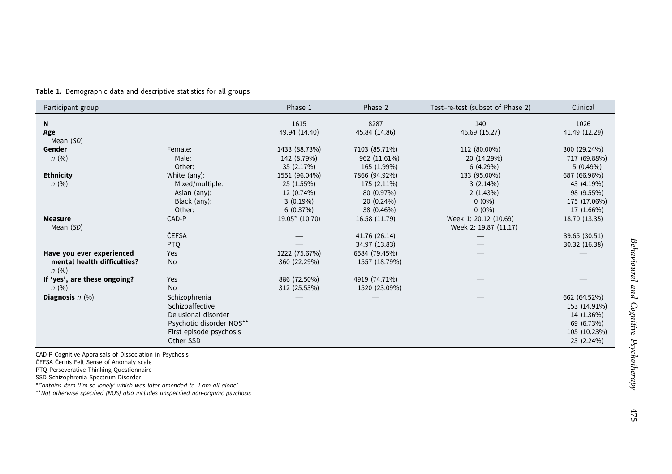<span id="page-4-0"></span>Table 1. Demographic data and descriptive statistics for all groups

| Participant group                                                |                                                                                                                             | Phase 1                                                              | Phase 2                                                                | Test-re-test (subset of Phase 2)                                | Clinical                                                                               |
|------------------------------------------------------------------|-----------------------------------------------------------------------------------------------------------------------------|----------------------------------------------------------------------|------------------------------------------------------------------------|-----------------------------------------------------------------|----------------------------------------------------------------------------------------|
| N<br>Age<br>Mean (SD)                                            |                                                                                                                             | 1615<br>49.94 (14.40)                                                | 8287<br>45.84 (14.86)                                                  | 140<br>46.69 (15.27)                                            | 1026<br>41.49 (12.29)                                                                  |
| Gender<br>n(%)                                                   | Female:<br>Male:<br>Other:                                                                                                  | 1433 (88.73%)<br>142 (8.79%)<br>35 (2.17%)                           | 7103 (85.71%)<br>962 (11.61%)<br>165 (1.99%)                           | 112 (80.00%)<br>20 (14.29%)<br>6(4.29%)                         | 300 (29.24%)<br>717 (69.88%)<br>$5(0.49\%)$                                            |
| <b>Ethnicity</b><br>n(%)                                         | White (any):<br>Mixed/multiple:<br>Asian (any):<br>Black (any):<br>Other:                                                   | 1551 (96.04%)<br>25 (1.55%)<br>12 (0.74%)<br>$3(0.19\%)$<br>6(0.37%) | 7866 (94.92%)<br>175 (2.11%)<br>80 (0.97%)<br>20 (0.24%)<br>38 (0.46%) | 133 (95.00%)<br>$3(2.14\%)$<br>2(1.43%)<br>$0(0\%)$<br>$0(0\%)$ | 687 (66.96%)<br>43 (4.19%)<br>98 (9.55%)<br>175 (17.06%)<br>17 (1.66%)                 |
| <b>Measure</b><br>Mean (SD)                                      | CAD-P<br>ČEFSA<br><b>PTQ</b>                                                                                                | $19.05*$ (10.70)                                                     | 16.58 (11.79)<br>41.76 (26.14)<br>34.97 (13.83)                        | Week 1: 20.12 (10.69)<br>Week 2: 19.87 (11.17)                  | 18.70 (13.35)<br>39.65 (30.51)<br>30.32 (16.38)                                        |
| Have you ever experienced<br>mental health difficulties?<br>n(%) | Yes<br><b>No</b>                                                                                                            | 1222 (75.67%)<br>360 (22.29%)                                        | 6584 (79.45%)<br>1557 (18.79%)                                         |                                                                 |                                                                                        |
| If 'yes', are these ongoing?<br>n(%)                             | Yes<br>886 (72.50%)<br><b>No</b><br>312 (25.53%)                                                                            |                                                                      | 4919 (74.71%)<br>1520 (23.09%)                                         |                                                                 |                                                                                        |
| Diagnosis $n$ (%)                                                | Schizophrenia<br>Schizoaffective<br>Delusional disorder<br>Psychotic disorder NOS**<br>First episode psychosis<br>Other SSD |                                                                      |                                                                        |                                                                 | 662 (64.52%)<br>153 (14.91%)<br>14 (1.36%)<br>69 (6.73%)<br>105 (10.23%)<br>23 (2.24%) |

CAD-P Cognitive Appraisals of Dissociation in Psychosis

ČEFSA Černis Felt Sense of Anomaly scale

PTQ Perseverative Thinking Questionnaire SSD Schizophrenia Spectrum Disorder

\*Contains item 'I'<sup>m</sup> so lonely' which was later amended to 'I am all alone'

\*\*Not otherwise specified (NOS) also includes unspecified non-organic psychosis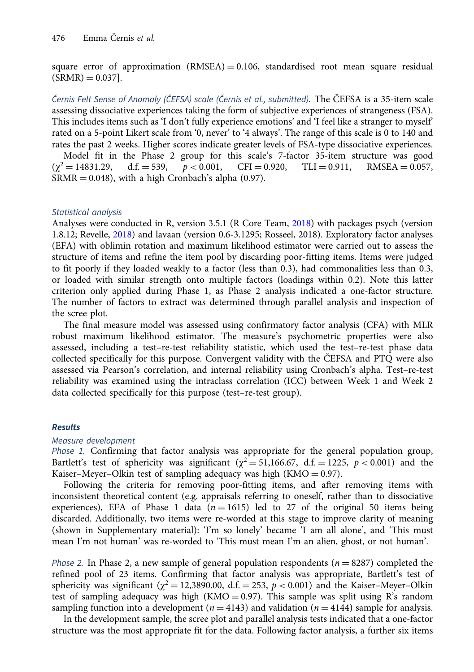square error of approximation  $(RMSEA) = 0.106$ , standardised root mean square residual  $(SRMR) = 0.037$ .

Černis Felt Sense of Anomaly (ČEFSA) scale (Černis et al., submitted). The ČEFSA is a 35-item scale assessing dissociative experiences taking the form of subjective experiences of strangeness (FSA). This includes items such as 'I don't fully experience emotions' and 'I feel like a stranger to myself' rated on a 5-point Likert scale from '0, never' to '4 always'. The range of this scale is 0 to 140 and rates the past 2 weeks. Higher scores indicate greater levels of FSA-type dissociative experiences. Model fit in the Phase 2 group for this scale's 7-factor 35-item structure was good  $(\gamma^2 = 14831.29, \quad d.f. = 539, \quad p < 0.001, \quad \text{CFI} = 0.920, \quad \text{TLI} = 0.911, \quad \text{RMSEA} = 0.057,$ d.f. = 539,  $p < 0.001$ , CFI = 0.920, TLI = 0.911, RMSEA = 0.057,  $SRMR = 0.048$ ), with a high Cronbach's alpha (0.97).

# Statistical analysis

Analyses were conducted in R, version 3.5.1 (R Core Team, [2018\)](#page-12-0) with packages psych (version 1.8.12; Revelle, [2018](#page-12-0)) and lavaan (version 0.6-3.1295; Rosseel, 2018). Exploratory factor analyses (EFA) with oblimin rotation and maximum likelihood estimator were carried out to assess the structure of items and refine the item pool by discarding poor-fitting items. Items were judged to fit poorly if they loaded weakly to a factor (less than 0.3), had commonalities less than 0.3, or loaded with similar strength onto multiple factors (loadings within 0.2). Note this latter criterion only applied during Phase 1, as Phase 2 analysis indicated a one-factor structure. The number of factors to extract was determined through parallel analysis and inspection of the scree plot.

The final measure model was assessed using confirmatory factor analysis (CFA) with MLR robust maximum likelihood estimator. The measure's psychometric properties were also assessed, including a test–re-test reliability statistic, which used the test–re-test phase data collected specifically for this purpose. Convergent validity with the ČEFSA and PTQ were also assessed via Pearson's correlation, and internal reliability using Cronbach's alpha. Test–re-test reliability was examined using the intraclass correlation (ICC) between Week 1 and Week 2 data collected specifically for this purpose (test–re-test group).

# Results

# Measure development

Phase 1. Confirming that factor analysis was appropriate for the general population group, Bartlett's test of sphericity was significant ( $\chi^2 = 51,166.67$ , d.f. = 1225,  $p < 0.001$ ) and the Kaiser–Meyer–Olkin test of sampling adequacy was high  $(KMO = 0.97)$ .

Following the criteria for removing poor-fitting items, and after removing items with inconsistent theoretical content (e.g. appraisals referring to oneself, rather than to dissociative experiences), EFA of Phase 1 data ( $n = 1615$ ) led to 27 of the original 50 items being discarded. Additionally, two items were re-worded at this stage to improve clarity of meaning (shown in Supplementary material): 'I'm so lonely' became 'I am all alone', and 'This must mean I'm not human' was re-worded to 'This must mean I'm an alien, ghost, or not human'.

*Phase 2.* In Phase 2, a new sample of general population respondents ( $n = 8287$ ) completed the refined pool of 23 items. Confirming that factor analysis was appropriate, Bartlett's test of sphericity was significant ( $\chi^2$  = 12,3890.00, d.f. = 253,  $p < 0.001$ ) and the Kaiser–Meyer–Olkin test of sampling adequacy was high ( $KMO = 0.97$ ). This sample was split using R's random sampling function into a development ( $n = 4143$ ) and validation ( $n = 4144$ ) sample for analysis.

In the development sample, the scree plot and parallel analysis tests indicated that a one-factor structure was the most appropriate fit for the data. Following factor analysis, a further six items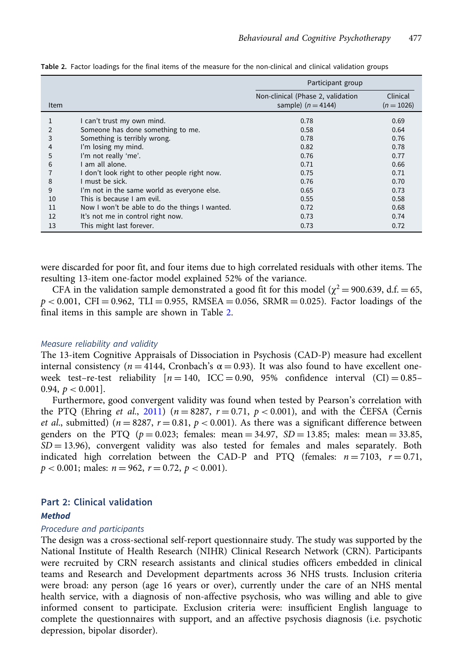|      |                                                | Participant group                                         |                          |  |
|------|------------------------------------------------|-----------------------------------------------------------|--------------------------|--|
| Item |                                                | Non-clinical (Phase 2, validation<br>sample) $(n = 4144)$ | Clinical<br>$(n = 1026)$ |  |
|      | I can't trust my own mind.                     | 0.78                                                      | 0.69                     |  |
|      | Someone has done something to me.              | 0.58                                                      | 0.64                     |  |
| 3    | Something is terribly wrong.                   | 0.78                                                      | 0.76                     |  |
| 4    | I'm losing my mind.                            | 0.82                                                      | 0.78                     |  |
| 5    | I'm not really 'me'.                           | 0.76                                                      | 0.77                     |  |
| 6    | I am all alone.                                | 0.71                                                      | 0.66                     |  |
|      | I don't look right to other people right now.  | 0.75                                                      | 0.71                     |  |
| 8    | I must be sick.                                | 0.76                                                      | 0.70                     |  |
| 9    | I'm not in the same world as everyone else.    | 0.65                                                      | 0.73                     |  |
| 10   | This is because I am evil.                     | 0.55                                                      | 0.58                     |  |
| 11   | Now I won't be able to do the things I wanted. | 0.72                                                      | 0.68                     |  |
| 12   | It's not me in control right now.              | 0.73                                                      | 0.74                     |  |
| 13   | This might last forever.                       | 0.73                                                      | 0.72                     |  |

<span id="page-6-0"></span>Table 2. Factor loadings for the final items of the measure for the non-clinical and clinical validation groups

were discarded for poor fit, and four items due to high correlated residuals with other items. The resulting 13-item one-factor model explained 52% of the variance.

CFA in the validation sample demonstrated a good fit for this model ( $\chi^2$  = 900.639, d.f. = 65,  $p < 0.001$ , CFI = 0.962, TLI = 0.955, RMSEA = 0.056, SRMR = 0.025). Factor loadings of the final items in this sample are shown in Table 2.

# Measure reliability and validity

The 13-item Cognitive Appraisals of Dissociation in Psychosis (CAD-P) measure had excellent internal consistency ( $n = 4144$ , Cronbach's  $\alpha = 0.93$ ). It was also found to have excellent oneweek test-re-test reliability  $[n = 140, ICC = 0.90, 95\%$  confidence interval  $(Cl) = 0.85-$ 0.94,  $p < 0.001$ ].

Furthermore, good convergent validity was found when tested by Pearson's correlation with the PTQ (Ehring *et al.*, [2011\)](#page-12-0) ( $n = 8287$ ,  $r = 0.71$ ,  $p < 0.001$ ), and with the ČEFSA (Černis *et al.*, submitted) ( $n = 8287$ ,  $r = 0.81$ ,  $p < 0.001$ ). As there was a significant difference between genders on the PTQ ( $p = 0.023$ ; females: mean = 34.97, SD = 13.85; males: mean = 33.85,  $SD = 13.96$ , convergent validity was also tested for females and males separately. Both indicated high correlation between the CAD-P and PTQ (females:  $n = 7103$ ,  $r = 0.71$ ,  $p < 0.001$ ; males:  $n = 962$ ,  $r = 0.72$ ,  $p < 0.001$ ).

# Part 2: Clinical validation

# **Method**

# Procedure and participants

The design was a cross-sectional self-report questionnaire study. The study was supported by the National Institute of Health Research (NIHR) Clinical Research Network (CRN). Participants were recruited by CRN research assistants and clinical studies officers embedded in clinical teams and Research and Development departments across 36 NHS trusts. Inclusion criteria were broad: any person (age 16 years or over), currently under the care of an NHS mental health service, with a diagnosis of non-affective psychosis, who was willing and able to give informed consent to participate. Exclusion criteria were: insufficient English language to complete the questionnaires with support, and an affective psychosis diagnosis (i.e. psychotic depression, bipolar disorder).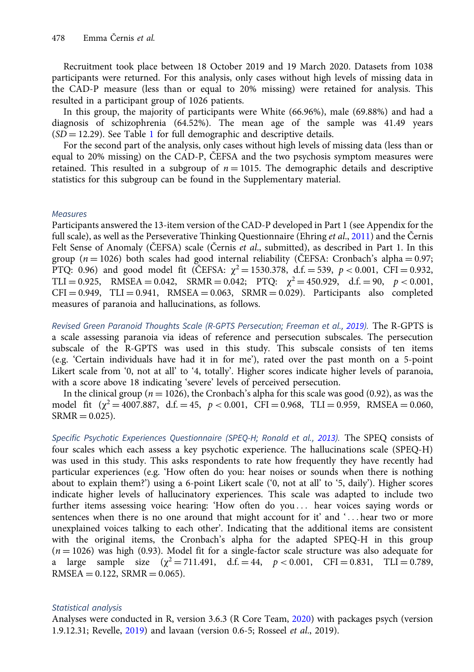Recruitment took place between 18 October 2019 and 19 March 2020. Datasets from 1038 participants were returned. For this analysis, only cases without high levels of missing data in the CAD-P measure (less than or equal to 20% missing) were retained for analysis. This resulted in a participant group of 1026 patients.

In this group, the majority of participants were White (66.96%), male (69.88%) and had a diagnosis of schizophrenia (64.52%). The mean age of the sample was 41.49 years  $(SD = 12.29)$  $(SD = 12.29)$  $(SD = 12.29)$ . See Table 1 for full demographic and descriptive details.

For the second part of the analysis, only cases without high levels of missing data (less than or equal to 20% missing) on the CAD-P, ČEFSA and the two psychosis symptom measures were retained. This resulted in a subgroup of  $n = 1015$ . The demographic details and descriptive statistics for this subgroup can be found in the Supplementary material.

# Measures

Participants answered the 13-item version of the CAD-P developed in Part 1 (see Appendix for the full scale), as well as the Perseverative Thinking Questionnaire (Ehring *et al.*, [2011](#page-12-0)) and the Černis Felt Sense of Anomaly (ČEFSA) scale (Černis et al., submitted), as described in Part 1. In this group ( $n = 1026$ ) both scales had good internal reliability (ČEFSA: Cronbach's alpha = 0.97; PTQ: 0.96) and good model fit (ČEFSA:  $\chi^2 = 1530.378$ , d.f. = 539, p < 0.001, CFI = 0.932, TLI = 0.925, RMSEA = 0.042, SRMR = 0.042; PTQ:  $\chi^2 = 450.929$ , d.f. = 90,  $p < 0.001$ ,  $CFI = 0.949$ ,  $TLI = 0.941$ ,  $RMSEA = 0.063$ ,  $SRMR = 0.029$ ). Participants also completed measures of paranoia and hallucinations, as follows.

Revised Green Paranoid Thoughts Scale (R-GPTS Persecution; Freeman et al., [2019\)](#page-12-0). The R-GPTS is a scale assessing paranoia via ideas of reference and persecution subscales. The persecution subscale of the R-GPTS was used in this study. This subscale consists of ten items (e.g. 'Certain individuals have had it in for me'), rated over the past month on a 5-point Likert scale from '0, not at all' to '4, totally'. Higher scores indicate higher levels of paranoia, with a score above 18 indicating 'severe' levels of perceived persecution.

In the clinical group ( $n = 1026$ ), the Cronbach's alpha for this scale was good (0.92), as was the model fit  $(\gamma^2 = 4007.887, d.f. = 45, p < 0.001, CFI = 0.968, TLI = 0.959, RMSEA = 0.060,$  $SRMR = 0.025$ ).

Specific Psychotic Experiences Questionnaire (SPEQ-H; Ronald et al., [2013](#page-12-0)). The SPEQ consists of four scales which each assess a key psychotic experience. The hallucinations scale (SPEQ-H) was used in this study. This asks respondents to rate how frequently they have recently had particular experiences (e.g. 'How often do you: hear noises or sounds when there is nothing about to explain them?') using a 6-point Likert scale ('0, not at all' to '5, daily'). Higher scores indicate higher levels of hallucinatory experiences. This scale was adapted to include two further items assessing voice hearing: 'How often do you ::: hear voices saying words or sentences when there is no one around that might account for it' and  $\ldots$  hear two or more unexplained voices talking to each other'. Indicating that the additional items are consistent with the original items, the Cronbach's alpha for the adapted SPEQ-H in this group  $(n = 1026)$  was high (0.93). Model fit for a single-factor scale structure was also adequate for a large sample size  $(\chi^2 = 711.491, d.f. = 44, p < 0.001, CFI = 0.831, TLI = 0.789,$  $RMSEA = 0.122$ ,  $SRMR = 0.065$ ).

# Statistical analysis

Analyses were conducted in R, version 3.6.3 (R Core Team, [2020\)](#page-12-0) with packages psych (version 1.9.12.31; Revelle, [2019](#page-12-0)) and lavaan (version 0.6-5; Rosseel et al., 2019).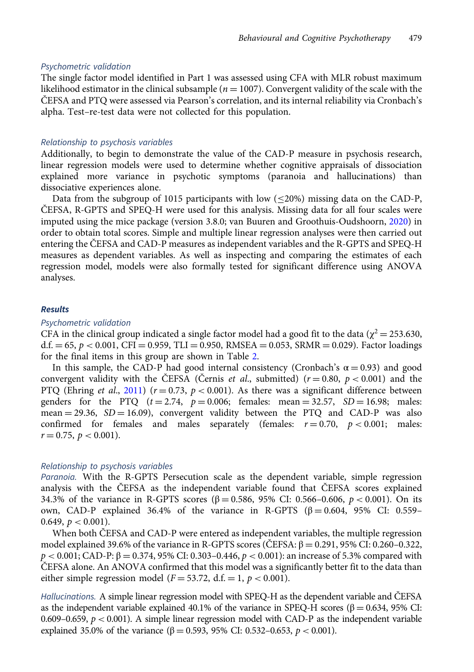#### Psychometric validation

The single factor model identified in Part 1 was assessed using CFA with MLR robust maximum likelihood estimator in the clinical subsample ( $n = 1007$ ). Convergent validity of the scale with the ČEFSA and PTQ were assessed via Pearson's correlation, and its internal reliability via Cronbach's alpha. Test–re-test data were not collected for this population.

## Relationship to psychosis variables

Additionally, to begin to demonstrate the value of the CAD-P measure in psychosis research, linear regression models were used to determine whether cognitive appraisals of dissociation explained more variance in psychotic symptoms (paranoia and hallucinations) than dissociative experiences alone.

Data from the subgroup of 1015 participants with low  $(\leq 20\%)$  missing data on the CAD-P, ČEFSA, R-GPTS and SPEQ-H were used for this analysis. Missing data for all four scales were imputed using the mice package (version 3.8.0; van Buuren and Groothuis-Oudshoorn, [2020\)](#page-12-0) in order to obtain total scores. Simple and multiple linear regression analyses were then carried out entering the ČEFSA and CAD-P measures as independent variables and the R-GPTS and SPEQ-H measures as dependent variables. As well as inspecting and comparing the estimates of each regression model, models were also formally tested for significant difference using ANOVA analyses.

# Results

# Psychometric validation

CFA in the clinical group indicated a single factor model had a good fit to the data ( $\chi^2 = 253.630$ , d.f.  $= 65, p < 0.001$ , CFI = 0.959, TLI = 0.950, RMSEA = 0.053, SRMR = 0.029). Factor loadings for the final items in this group are shown in Table [2](#page-6-0).

In this sample, the CAD-P had good internal consistency (Cronbach's  $\alpha = 0.93$ ) and good convergent validity with the ČEFSA (Černis *et al.*, submitted)  $(r=0.80, p < 0.001)$  and the PTQ (Ehring et al., [2011\)](#page-12-0) ( $r = 0.73$ ,  $p < 0.001$ ). As there was a significant difference between genders for the PTQ  $(t = 2.74, p = 0.006;$  females: mean = 32.57, SD = 16.98; males: mean  $= 29.36$ ,  $SD = 16.09$ ), convergent validity between the PTQ and CAD-P was also confirmed for females and males separately (females:  $r = 0.70$ ,  $p < 0.001$ ; males:  $r = 0.75$ ,  $p < 0.001$ ).

## Relationship to psychosis variables

Paranoia. With the R-GPTS Persecution scale as the dependent variable, simple regression analysis with the ČEFSA as the independent variable found that ČEFSA scores explained 34.3% of the variance in R-GPTS scores ( $\beta = 0.586$ , 95% CI: 0.566–0.606, p < 0.001). On its own, CAD-P explained 36.4% of the variance in R-GPTS ( $β = 0.604$ , 95% CI: 0.559– 0.649,  $p < 0.001$ ).

When both ČEFSA and CAD-P were entered as independent variables, the multiple regression model explained 39.6% of the variance in R-GPTS scores (ČEFSA:  $β = 0.291,95%$  CI: 0.260–0.322,  $p < 0.001$ ; CAD-P:  $\beta = 0.374$ , 95% CI: 0.303–0.446,  $p < 0.001$ ): an increase of 5.3% compared with ČEFSA alone. An ANOVA confirmed that this model was a significantly better fit to the data than either simple regression model ( $F = 53.72$ , d.f. = 1,  $p < 0.001$ ).

Hallucinations. A simple linear regression model with SPEQ-H as the dependent variable and ČEFSA as the independent variable explained 40.1% of the variance in SPEQ-H scores (β = 0.634, 95% CI: 0.609–0.659,  $p < 0.001$ ). A simple linear regression model with CAD-P as the independent variable explained 35.0% of the variance (β = 0.593, 95% CI: 0.532-0.653,  $p < 0.001$ ).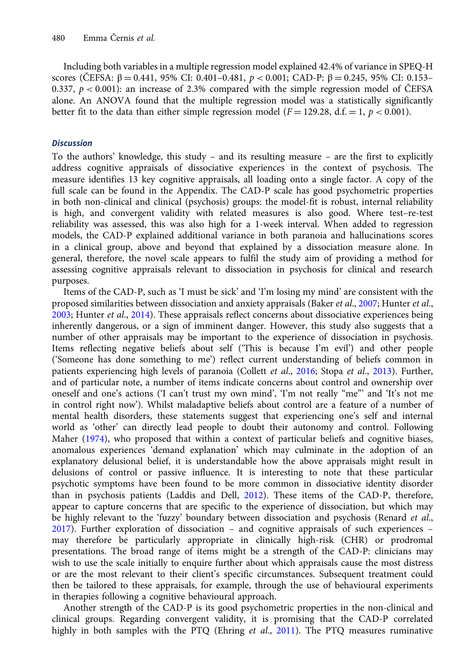Including both variables in a multiple regression model explained 42.4% of variance in SPEQ-H scores (ČEFSA: β = 0.441, 95% CI: 0.401–0.481,  $p < 0.001$ ; CAD-P: β = 0.245, 95% CI: 0.153– 0.337,  $p < 0.001$ ): an increase of 2.3% compared with the simple regression model of ČEFSA alone. An ANOVA found that the multiple regression model was a statistically significantly better fit to the data than either simple regression model ( $F = 129.28$ , d.f.  $= 1$ ,  $p < 0.001$ ).

# **Discussion**

To the authors' knowledge, this study – and its resulting measure – are the first to explicitly address cognitive appraisals of dissociative experiences in the context of psychosis. The measure identifies 13 key cognitive appraisals, all loading onto a single factor. A copy of the full scale can be found in the Appendix. The CAD-P scale has good psychometric properties in both non-clinical and clinical (psychosis) groups: the model-fit is robust, internal reliability is high, and convergent validity with related measures is also good. Where test–re-test reliability was assessed, this was also high for a 1-week interval. When added to regression models, the CAD-P explained additional variance in both paranoia and hallucinations scores in a clinical group, above and beyond that explained by a dissociation measure alone. In general, therefore, the novel scale appears to fulfil the study aim of providing a method for assessing cognitive appraisals relevant to dissociation in psychosis for clinical and research purposes.

Items of the CAD-P, such as 'I must be sick' and 'I'm losing my mind' are consistent with the proposed similarities between dissociation and anxiety appraisals (Baker *et al.*, [2007;](#page-11-0) Hunter *et al.*, [2003;](#page-12-0) Hunter et al., [2014](#page-12-0)). These appraisals reflect concerns about dissociative experiences being inherently dangerous, or a sign of imminent danger. However, this study also suggests that a number of other appraisals may be important to the experience of dissociation in psychosis. Items reflecting negative beliefs about self ('This is because I'm evil') and other people ('Someone has done something to me') reflect current understanding of beliefs common in patients experiencing high levels of paranoia (Collett et al., [2016](#page-12-0); Stopa et al., [2013\)](#page-12-0). Further, and of particular note, a number of items indicate concerns about control and ownership over oneself and one's actions ('I can't trust my own mind', 'I'm not really "me"' and 'It's not me in control right now'). Whilst maladaptive beliefs about control are a feature of a number of mental health disorders, these statements suggest that experiencing one's self and internal world as 'other' can directly lead people to doubt their autonomy and control. Following Maher ([1974\)](#page-12-0), who proposed that within a context of particular beliefs and cognitive biases, anomalous experiences 'demand explanation' which may culminate in the adoption of an explanatory delusional belief, it is understandable how the above appraisals might result in delusions of control or passive influence. It is interesting to note that these particular psychotic symptoms have been found to be more common in dissociative identity disorder than in psychosis patients (Laddis and Dell, [2012\)](#page-12-0). These items of the CAD-P, therefore, appear to capture concerns that are specific to the experience of dissociation, but which may be highly relevant to the 'fuzzy' boundary between dissociation and psychosis (Renard et al., [2017\)](#page-12-0). Further exploration of dissociation – and cognitive appraisals of such experiences – may therefore be particularly appropriate in clinically high-risk (CHR) or prodromal presentations. The broad range of items might be a strength of the CAD-P: clinicians may wish to use the scale initially to enquire further about which appraisals cause the most distress or are the most relevant to their client's specific circumstances. Subsequent treatment could then be tailored to these appraisals, for example, through the use of behavioural experiments in therapies following a cognitive behavioural approach.

Another strength of the CAD-P is its good psychometric properties in the non-clinical and clinical groups. Regarding convergent validity, it is promising that the CAD-P correlated highly in both samples with the PTQ (Ehring et al., [2011](#page-12-0)). The PTQ measures ruminative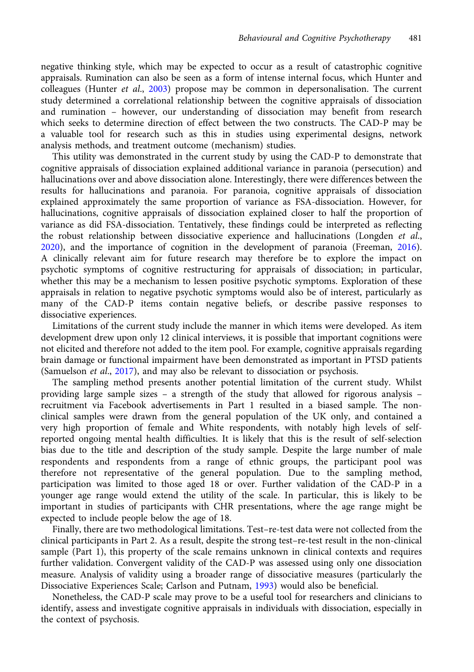negative thinking style, which may be expected to occur as a result of catastrophic cognitive appraisals. Rumination can also be seen as a form of intense internal focus, which Hunter and colleagues (Hunter et al., [2003](#page-12-0)) propose may be common in depersonalisation. The current study determined a correlational relationship between the cognitive appraisals of dissociation and rumination – however, our understanding of dissociation may benefit from research which seeks to determine direction of effect between the two constructs. The CAD-P may be a valuable tool for research such as this in studies using experimental designs, network analysis methods, and treatment outcome (mechanism) studies.

This utility was demonstrated in the current study by using the CAD-P to demonstrate that cognitive appraisals of dissociation explained additional variance in paranoia (persecution) and hallucinations over and above dissociation alone. Interestingly, there were differences between the results for hallucinations and paranoia. For paranoia, cognitive appraisals of dissociation explained approximately the same proportion of variance as FSA-dissociation. However, for hallucinations, cognitive appraisals of dissociation explained closer to half the proportion of variance as did FSA-dissociation. Tentatively, these findings could be interpreted as reflecting the robust relationship between dissociative experience and hallucinations (Longden *et al.*, [2020](#page-12-0)), and the importance of cognition in the development of paranoia (Freeman, [2016](#page-12-0)). A clinically relevant aim for future research may therefore be to explore the impact on psychotic symptoms of cognitive restructuring for appraisals of dissociation; in particular, whether this may be a mechanism to lessen positive psychotic symptoms. Exploration of these appraisals in relation to negative psychotic symptoms would also be of interest, particularly as many of the CAD-P items contain negative beliefs, or describe passive responses to dissociative experiences.

Limitations of the current study include the manner in which items were developed. As item development drew upon only 12 clinical interviews, it is possible that important cognitions were not elicited and therefore not added to the item pool. For example, cognitive appraisals regarding brain damage or functional impairment have been demonstrated as important in PTSD patients (Samuelson et al., [2017](#page-12-0)), and may also be relevant to dissociation or psychosis.

The sampling method presents another potential limitation of the current study. Whilst providing large sample sizes – a strength of the study that allowed for rigorous analysis – recruitment via Facebook advertisements in Part 1 resulted in a biased sample. The nonclinical samples were drawn from the general population of the UK only, and contained a very high proportion of female and White respondents, with notably high levels of selfreported ongoing mental health difficulties. It is likely that this is the result of self-selection bias due to the title and description of the study sample. Despite the large number of male respondents and respondents from a range of ethnic groups, the participant pool was therefore not representative of the general population. Due to the sampling method, participation was limited to those aged 18 or over. Further validation of the CAD-P in a younger age range would extend the utility of the scale. In particular, this is likely to be important in studies of participants with CHR presentations, where the age range might be expected to include people below the age of 18.

Finally, there are two methodological limitations. Test–re-test data were not collected from the clinical participants in Part 2. As a result, despite the strong test–re-test result in the non-clinical sample (Part 1), this property of the scale remains unknown in clinical contexts and requires further validation. Convergent validity of the CAD-P was assessed using only one dissociation measure. Analysis of validity using a broader range of dissociative measures (particularly the Dissociative Experiences Scale; Carlson and Putnam, [1993\)](#page-11-0) would also be beneficial.

Nonetheless, the CAD-P scale may prove to be a useful tool for researchers and clinicians to identify, assess and investigate cognitive appraisals in individuals with dissociation, especially in the context of psychosis.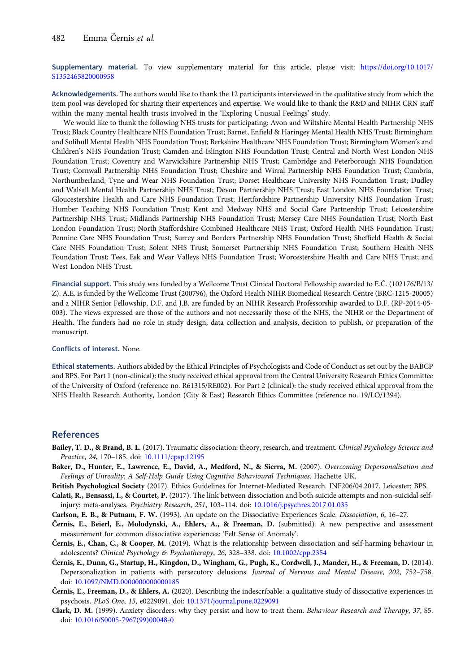<span id="page-11-0"></span>Supplementary material. To view supplementary material for this article, please visit: [https://doi.org/10.1017/](https://doi.org/10.1017/S1352465820000958) [S1352465820000958](https://doi.org/10.1017/S1352465820000958)

Acknowledgements. The authors would like to thank the 12 participants interviewed in the qualitative study from which the item pool was developed for sharing their experiences and expertise. We would like to thank the R&D and NIHR CRN staff within the many mental health trusts involved in the 'Exploring Unusual Feelings' study.

We would like to thank the following NHS trusts for participating: Avon and Wiltshire Mental Health Partnership NHS Trust; Black Country Healthcare NHS Foundation Trust; Barnet, Enfield & Haringey Mental Health NHS Trust; Birmingham and Solihull Mental Health NHS Foundation Trust; Berkshire Healthcare NHS Foundation Trust; Birmingham Women's and Children's NHS Foundation Trust; Camden and Islington NHS Foundation Trust; Central and North West London NHS Foundation Trust; Coventry and Warwickshire Partnership NHS Trust; Cambridge and Peterborough NHS Foundation Trust; Cornwall Partnership NHS Foundation Trust; Cheshire and Wirral Partnership NHS Foundation Trust; Cumbria, Northumberland, Tyne and Wear NHS Foundation Trust; Dorset Healthcare University NHS Foundation Trust; Dudley and Walsall Mental Health Partnership NHS Trust; Devon Partnership NHS Trust; East London NHS Foundation Trust; Gloucestershire Health and Care NHS Foundation Trust; Hertfordshire Partnership University NHS Foundation Trust; Humber Teaching NHS Foundation Trust; Kent and Medway NHS and Social Care Partnership Trust; Leicestershire Partnership NHS Trust; Midlands Partnership NHS Foundation Trust; Mersey Care NHS Foundation Trust; North East London Foundation Trust; North Staffordshire Combined Healthcare NHS Trust; Oxford Health NHS Foundation Trust; Pennine Care NHS Foundation Trust; Surrey and Borders Partnership NHS Foundation Trust; Sheffield Health & Social Care NHS Foundation Trust; Solent NHS Trust; Somerset Partnership NHS Foundation Trust; Southern Health NHS Foundation Trust; Tees, Esk and Wear Valleys NHS Foundation Trust; Worcestershire Health and Care NHS Trust; and West London NHS Trust.

Financial support. This study was funded by a Wellcome Trust Clinical Doctoral Fellowship awarded to E.Č. (102176/B/13/ Z). A.E. is funded by the Wellcome Trust (200796), the Oxford Health NIHR Biomedical Research Centre (BRC-1215-20005) and a NIHR Senior Fellowship. D.F. and J.B. are funded by an NIHR Research Professorship awarded to D.F. (RP-2014-05- 003). The views expressed are those of the authors and not necessarily those of the NHS, the NIHR or the Department of Health. The funders had no role in study design, data collection and analysis, decision to publish, or preparation of the manuscript.

#### Conflicts of interest. None.

Ethical statements. Authors abided by the Ethical Principles of Psychologists and Code of Conduct as set out by the BABCP and BPS. For Part 1 (non-clinical): the study received ethical approval from the Central University Research Ethics Committee of the University of Oxford (reference no. R61315/RE002). For Part 2 (clinical): the study received ethical approval from the NHS Health Research Authority, London (City & East) Research Ethics Committee (reference no. 19/LO/1394).

# References

- Bailey, T. D., & Brand, B. L. (2017). Traumatic dissociation: theory, research, and treatment. Clinical Psychology Science and Practice, 24, 170–185. doi: [10.1111/cpsp.12195](https://doi.org/10.1111/cpsp.12195)
- Baker, D., Hunter, E., Lawrence, E., David, A., Medford, N., & Sierra, M. (2007). Overcoming Depersonalisation and Feelings of Unreality: A Self-Help Guide Using Cognitive Behavioural Techniques. Hachette UK.

British Psychological Society (2017). Ethics Guidelines for Internet-Mediated Research. INF206/04.2017. Leicester: BPS.

Calati, R., Bensassi, I., & Courtet, P. (2017). The link between dissociation and both suicide attempts and non-suicidal selfinjury: meta-analyses. Psychiatry Research, 251, 103–114. doi: [10.1016/j.psychres.2017.01.035](https://doi.org/10.1016/j.psychres.2017.01.035)

Carlson, E. B., & Putnam, F. W. (1993). An update on the Dissociative Experiences Scale. Dissociation, 6, 16–27.

Černis, E., Beierl, E., Molodynski, A., Ehlers, A., & Freeman, D. (submitted). A new perspective and assessment measurement for common dissociative experiences: 'Felt Sense of Anomaly'.

- Černis, E., Chan, C., & Cooper, M. (2019). What is the relationship between dissociation and self-harming behaviour in adolescents? Clinical Psychology & Psychotherapy, 26, 328–338. doi: [10.1002/cpp.2354](https://doi.org/10.1002/cpp.2354)
- Černis, E., Dunn, G., Startup, H., Kingdon, D., Wingham, G., Pugh, K., Cordwell, J., Mander, H., & Freeman, D. (2014). Depersonalization in patients with persecutory delusions. Journal of Nervous and Mental Disease, 202, 752–758. doi: [10.1097/NMD.0000000000000185](https://doi.org/10.1097/NMD.0000000000000185)
- Černis, E., Freeman, D., & Ehlers, A. (2020). Describing the indescribable: a qualitative study of dissociative experiences in psychosis. PLoS One, 15, e0229091. doi: [10.1371/journal.pone.0229091](https://doi.org/10.1371/journal.pone.0229091)
- Clark, D. M. (1999). Anxiety disorders: why they persist and how to treat them. Behaviour Research and Therapy, 37, S5. doi: [10.1016/S0005-7967\(99\)00048-0](https://doi.org/10.1016/S0005-7967(99)00048-0)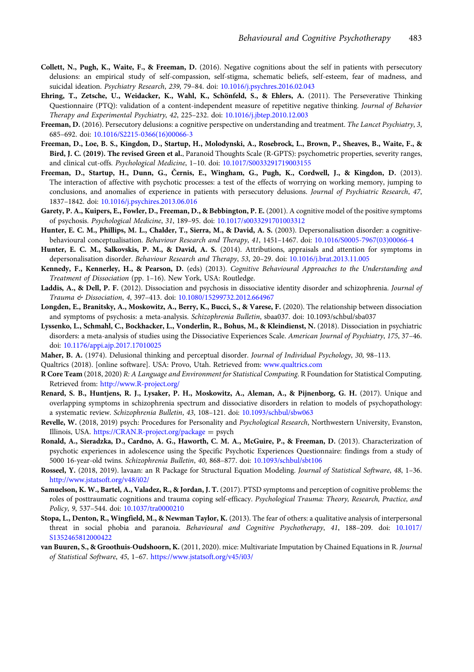- <span id="page-12-0"></span>Collett, N., Pugh, K., Waite, F., & Freeman, D. (2016). Negative cognitions about the self in patients with persecutory delusions: an empirical study of self-compassion, self-stigma, schematic beliefs, self-esteem, fear of madness, and suicidal ideation. Psychiatry Research, 239, 79–84. doi: [10.1016/j.psychres.2016.02.043](https://doi.org/10.1016/j.psychres.2016.02.043)
- Ehring, T., Zetsche, U., Weidacker, K., Wahl, K., Schönfeld, S., & Ehlers, A. (2011). The Perseverative Thinking Questionnaire (PTQ): validation of a content-independent measure of repetitive negative thinking. Journal of Behavior Therapy and Experimental Psychiatry, 42, 225–232. doi: [10.1016/j.jbtep.2010.12.003](https://doi.org/10.1016/j.jbtep.2010.12.003)
- Freeman, D. (2016). Persecutory delusions: a cognitive perspective on understanding and treatment. The Lancet Psychiatry, 3, 685–692. doi: [10.1016/S2215-0366\(16\)00066-3](https://doi.org/10.1016/S2215-0366(16)00066-3)
- Freeman, D., Loe, B. S., Kingdon, D., Startup, H., Molodynski, A., Rosebrock, L., Brown, P., Sheaves, B., Waite, F., & Bird, J. C. (2019). The revised Green et al., Paranoid Thoughts Scale (R-GPTS): psychometric properties, severity ranges, and clinical cut-offs. Psychological Medicine, 1–10. doi: [10.1017/S0033291719003155](https://doi.org/10.1017/S0033291719003155)
- Freeman, D., Startup, H., Dunn, G., Černis, E., Wingham, G., Pugh, K., Cordwell, J., & Kingdon, D. (2013). The interaction of affective with psychotic processes: a test of the effects of worrying on working memory, jumping to conclusions, and anomalies of experience in patients with persecutory delusions. Journal of Psychiatric Research, 47, 1837–1842. doi: [10.1016/j.psychires.2013.06.016](https://doi.org/10.1016/j.psychires.2013.06.016)
- Garety, P. A., Kuipers, E., Fowler, D., Freeman, D., & Bebbington, P. E. (2001). A cognitive model of the positive symptoms of psychosis. Psychological Medicine, 31, 189–95. doi: [10.1017/s0033291701003312](https://doi.org/10.1017/s0033291701003312)
- Hunter, E. C. M., Phillips, M. L., Chalder, T., Sierra, M., & David, A. S. (2003). Depersonalisation disorder: a cognitivebehavioural conceptualisation. Behaviour Research and Therapy, 41, 1451–1467. doi: [10.1016/S0005-7967\(03\)00066-4](https://doi.org/10.1016/S0005-7967(03)00066-4)
- Hunter, E. C. M., Salkovskis, P. M., & David, A. S. (2014). Attributions, appraisals and attention for symptoms in depersonalisation disorder. Behaviour Research and Therapy, 53, 20–29. doi: [10.1016/j.brat.2013.11.005](https://doi.org/10.1016/j.brat.2013.11.005)
- Kennedy, F., Kennerley, H., & Pearson, D. (eds) (2013). Cognitive Behavioural Approaches to the Understanding and Treatment of Dissociation (pp. 1–16). New York, USA: Routledge.
- Laddis, A., & Dell, P. F. (2012). Dissociation and psychosis in dissociative identity disorder and schizophrenia. Journal of Trauma & Dissociation, 4, 397–413. doi: [10.1080/15299732.2012.664967](https://doi.org/10.1080/15299732.2012.664967)
- Longden, E., Branitsky, A., Moskowitz, A., Berry, K., Bucci, S., & Varese, F. (2020). The relationship between dissociation and symptoms of psychosis: a meta-analysis. Schizophrenia Bulletin, sbaa037. doi: 10.1093/schbul/sba037
- Lyssenko, L., Schmahl, C., Bockhacker, L., Vonderlin, R., Bohus, M., & Kleindienst, N. (2018). Dissociation in psychiatric disorders: a meta-analysis of studies using the Dissociative Experiences Scale. American Journal of Psychiatry, 175, 37–46. doi: [10.1176/appi.ajp.2017.17010025](https://doi.org/10.1176/appi.ajp.2017.17010025)
- Maher, B. A. (1974). Delusional thinking and perceptual disorder. Journal of Individual Psychology, 30, 98-113.
- Qualtrics (2018). [online software]. USA: Provo, Utah. Retrieved from: [www.qualtrics.com](https://www.qualtrics.com)
- R Core Team (2018, 2020) R: A Language and Environment for Statistical Computing. R Foundation for Statistical Computing. Retrieved from: <http://www.R-project.org/>
- Renard, S. B., Huntjens, R. J., Lysaker, P. H., Moskowitz, A., Aleman, A., & Pijnenborg, G. H. (2017). Unique and overlapping symptoms in schizophrenia spectrum and dissociative disorders in relation to models of psychopathology: a systematic review. Schizophrenia Bulletin, 43, 108–121. doi: [10.1093/schbul/sbw063](https://doi.org/10.1093/schbul/sbw063)
- Revelle, W. (2018, 2019) psych: Procedures for Personality and Psychological Research, Northwestern University, Evanston, Illinois, USA. <https://CRAN.R-project.org/package> = psych
- Ronald, A., Sieradzka, D., Cardno, A. G., Haworth, C. M. A., McGuire, P., & Freeman, D. (2013). Characterization of psychotic experiences in adolescence using the Specific Psychotic Experiences Questionnaire: findings from a study of 5000 16-year-old twins. Schizophrenia Bulletin, 40, 868–877. doi: [10.1093/schbul/sbt106](https://doi.org/10.1093/schbul/sbt106)
- Rosseel, Y. (2018, 2019). lavaan: an R Package for Structural Equation Modeling. Journal of Statistical Software, 48, 1-36. <http://www.jstatsoft.org/v48/i02/>
- Samuelson, K. W., Bartel, A., Valadez, R., & Jordan, J. T. (2017). PTSD symptoms and perception of cognitive problems: the roles of posttraumatic cognitions and trauma coping self-efficacy. Psychological Trauma: Theory, Research, Practice, and Policy, 9, 537–544. doi: [10.1037/tra0000210](https://doi.org/10.1037/tra0000210)
- Stopa, L., Denton, R., Wingfield, M., & Newman Taylor, K. (2013). The fear of others: a qualitative analysis of interpersonal threat in social phobia and paranoia. Behavioural and Cognitive Psychotherapy, 41, 188–209. doi: [10.1017/](https://doi.org/10.1017/S1352465812000422) [S1352465812000422](https://doi.org/10.1017/S1352465812000422)
- van Buuren, S., & Groothuis-Oudshoorn, K. (2011, 2020). mice: Multivariate Imputation by Chained Equations in R. Journal of Statistical Software, 45, 1–67. <https://www.jstatsoft.org/v45/i03/>